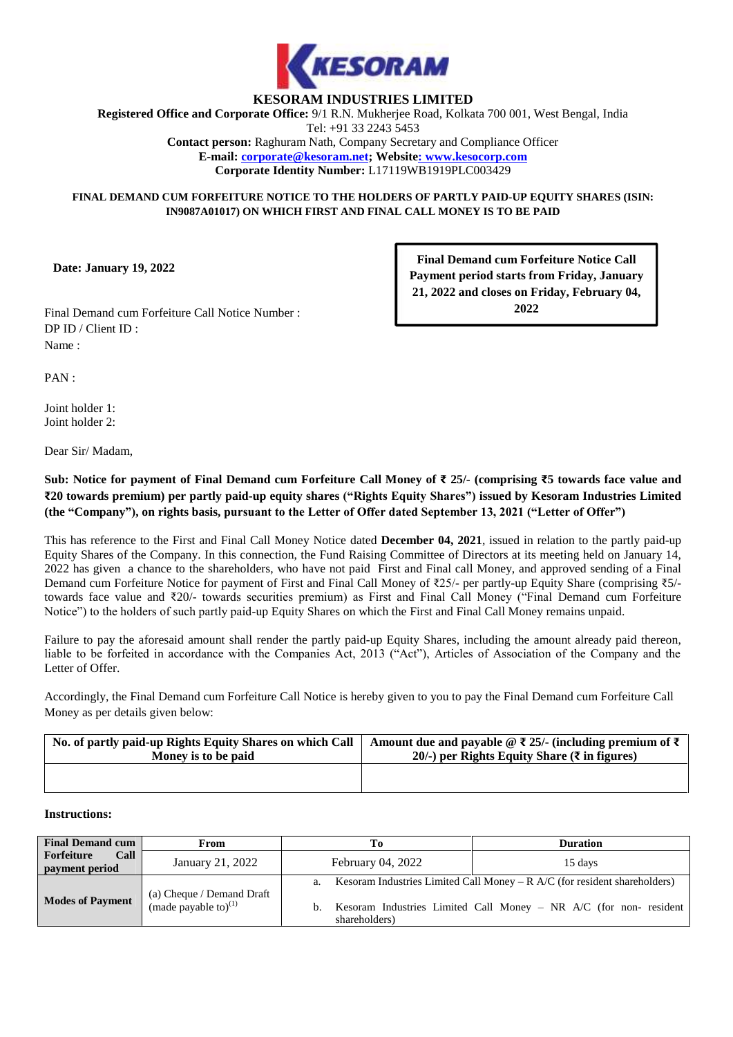

# **KESORAM INDUSTRIES LIMITED**

**Registered Office and Corporate Office:** 9/1 R.N. Mukherjee Road, Kolkata 700 001, West Bengal, India Tel: +91 33 2243 5453 **Contact person:** Raghuram Nath, Company Secretary and Compliance Officer **E-mail: corporate@kesoram.net; Website: www.kesocorp.com Corporate Identity Number:** L17119WB1919PLC003429

#### **FINAL DEMAND CUM FORFEITURE NOTICE TO THE HOLDERS OF PARTLY PAID-UP EQUITY SHARES (ISIN: IN9087A01017) ON WHICH FIRST AND FINAL CALL MONEY IS TO BE PAID**

**Date: January 19, 2022**

**Final Demand cum Forfeiture Notice Call Payment period starts from Friday, January 21, 2022 and closes on Friday, February 04, 2022**

Final Demand cum Forfeiture Call Notice Number : DP ID / Client ID : Name :

PAN :

Joint holder 1: Joint holder 2:

Dear Sir/ Madam,

**Sub: Notice for payment of Final Demand cum Forfeiture Call Money of₹ 25/- (comprising ₹5 towards face value and ₹20 towards premium) per partly paid-up equity shares ("Rights Equity Shares") issued by Kesoram Industries Limited (the "Company"), on rights basis, pursuant to the Letter of Offer dated September 13, 2021 ("Letter of Offer")**

This has reference to the First and Final Call Money Notice dated **December 04, 2021**, issued in relation to the partly paid-up Equity Shares of the Company. In this connection, the Fund Raising Committee of Directors at its meeting held on January 14, 2022 has given a chance to the shareholders, who have not paid First and Final call Money, and approved sending of a Final Demand cum Forfeiture Notice for payment of First and Final Call Money of ₹25/- per partly-up Equity Share (comprising ₹5/ towards face value and ₹20/- towards securities premium) as First and Final Call Money ("Final Demand cum Forfeiture Notice") to the holders of such partly paid-up Equity Shares on which the First and Final Call Money remains unpaid.

Failure to pay the aforesaid amount shall render the partly paid-up Equity Shares, including the amount already paid thereon, liable to be forfeited in accordance with the Companies Act, 2013 ("Act"), Articles of Association of the Company and the Letter of Offer.

Accordingly, the Final Demand cum Forfeiture Call Notice is hereby given to you to pay the Final Demand cum Forfeiture Call Money as per details given below:

| No. of partly paid-up Rights Equity Shares on which Call | Amount due and payable @ $\bar{\xi}$ 25/- (including premium of $\bar{\xi}$ ) |
|----------------------------------------------------------|-------------------------------------------------------------------------------|
| Money is to be paid                                      | 20/-) per Rights Equity Share ( $\bar{\tau}$ in figures)                      |
|                                                          |                                                                               |

#### **Instructions:**

| <b>Final Demand cum</b>                                                                  | From             | Гo                       | <b>Duration</b>                                                                |
|------------------------------------------------------------------------------------------|------------------|--------------------------|--------------------------------------------------------------------------------|
| Call<br>Forfeiture<br>payment period                                                     | January 21, 2022 | <b>February 04, 2022</b> | 15 days                                                                        |
| (a) Cheque / Demand Draft<br>(made payable to) <sup>(1)</sup><br><b>Modes of Payment</b> |                  |                          | a. Kesoram Industries Limited Call Money – $R$ A/C (for resident shareholders) |
|                                                                                          |                  | b.<br>shareholders)      | Kesoram Industries Limited Call Money – NR $A/C$ (for non-resident             |